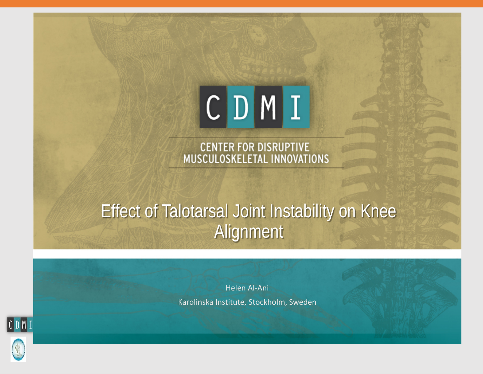

CENTER FOR DISRUPTIVE<br>MUSCULOSKELETAL INNOVATIONS

#### Effect of Talotarsal Joint Instability on Knee Alignment

Helen Al-Ani Karolinska Institute, Stockholm, Sweden

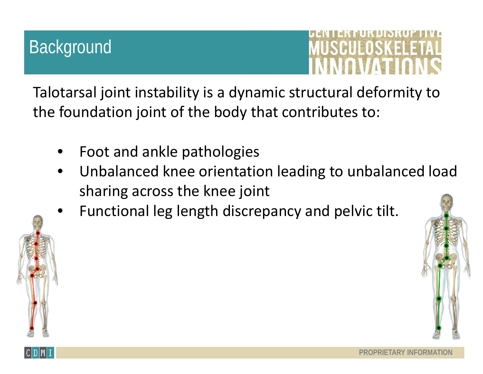USCUEDSKEEE

Talotarsal joint instability is a dynamic structural deformity to the foundation joint of the body that contributes to:

- Foot and ankle pathologies
- Unbalanced knee orientation leading to unbalanced load sharing across the knee joint
- Functional leg length discrepancy and pelvic tilt.

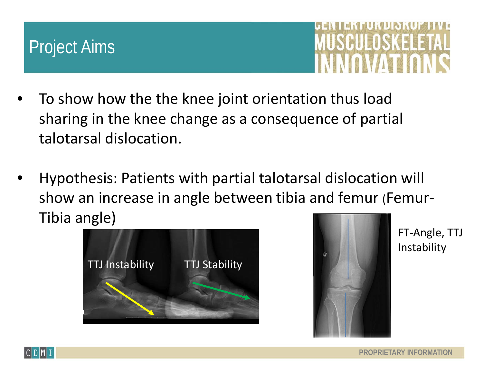#### Project Aims



- To show how the the knee joint orientation thus load sharing in the knee change as a consequence of partial talotarsal dislocation.
- Hypothesis: Patients with partial talotarsal dislocation will show an increase in angle between tibia and femur (Femur-Tibia angle)





FT-Angle, TTJ **Instability** 

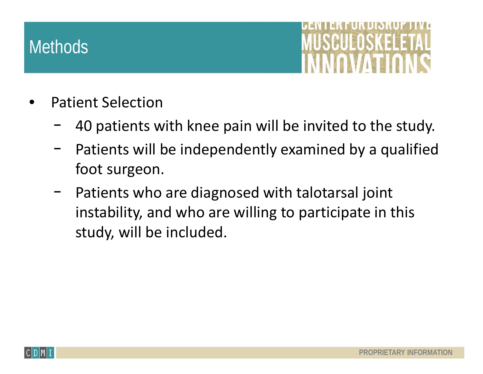

- Patient Selection
	- 40 patients with knee pain will be invited to the study.
	- Patients will be independently examined by a qualified foot surgeon.
	- − Patients who are diagnosed with talotarsal joint instability, and who are willing to participate in this study, will be included.

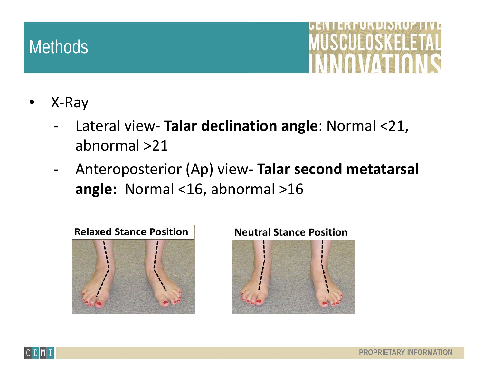- X-Ray
	- Lateral view- **Talar declination angle**: Normal <21, abnormal >21
	- Anteroposterior (Ap) view- **Talar second metatarsal angle:** Normal <16, abnormal >16





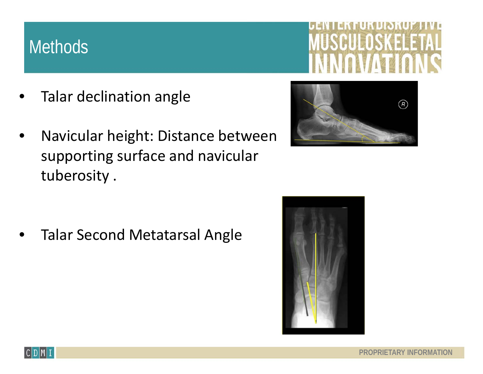

- Talar declination angle
- Navicular height: Distance between supporting surface and navicular tuberosity .



Talar Second Metatarsal Angle



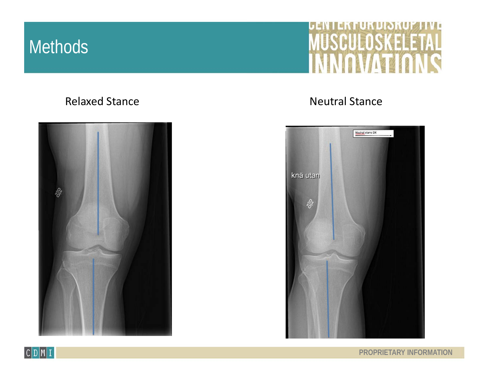#### MUNICI **IUSCULOSKELETAL**  $\sim$

#### Relaxed Stance **Neutral Stance Neutral Stance**





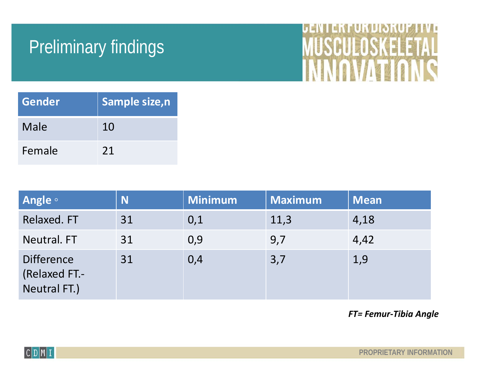### Preliminary findings



| Gender | Sample size, n |
|--------|----------------|
| Male   | 10             |
| Female | 21             |

| <b>Angle</b> of                                    | N  | <b>Minimum</b> | <b>Maximum</b> | <b>Mean</b> |
|----------------------------------------------------|----|----------------|----------------|-------------|
| Relaxed. FT                                        | 31 | 0,1            | 11,3           | 4,18        |
| Neutral. FT                                        | 31 | 0,9            | 9,7            | 4,42        |
| <b>Difference</b><br>(Relaxed FT.-<br>Neutral FT.) | 31 | 0,4            | 3,7            | 1,9         |

*FT= Femur-Tibia Angle*

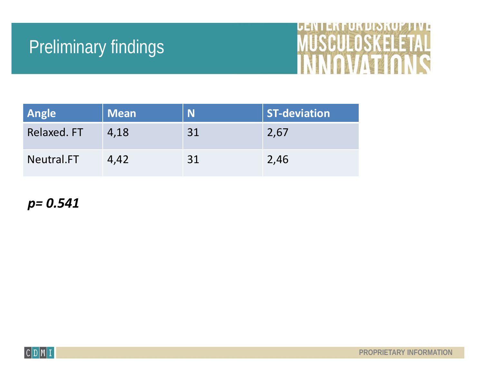### Preliminary findings

# **DEINTERTURBISRUPTIVE**

| Angle       | <b>Mean</b> | N  | <b>ST-deviation</b> |
|-------------|-------------|----|---------------------|
| Relaxed. FT | 4,18        | 31 | 2,67                |
| Neutral.FT  | 4,42        | 31 | 2,46                |

*p= 0.541*

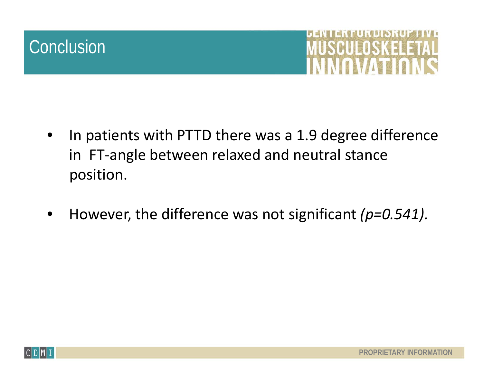#### **Conclusion**



- In patients with PTTD there was a 1.9 degree difference in FT-angle between relaxed and neutral stance position.
- However, the difference was not significant *(p=0.541).*

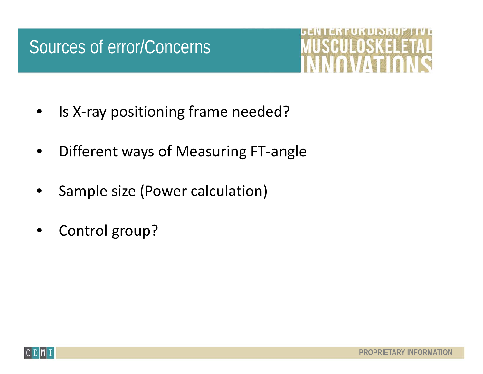#### Sources of error/Concerns



- Is X-ray positioning frame needed?
- Different ways of Measuring FT-angle
- Sample size (Power calculation)
- Control group?

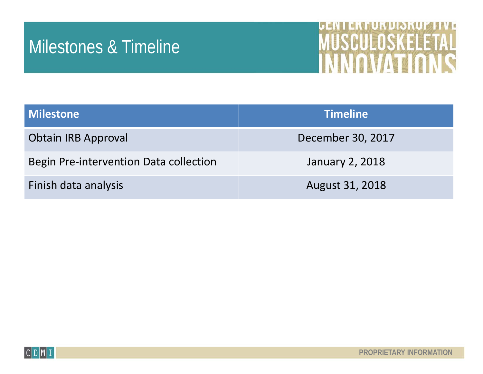#### Milestones & Timeline



| <b>Milestone</b>                       | <b>Timeline</b>        |
|----------------------------------------|------------------------|
| <b>Obtain IRB Approval</b>             | December 30, 2017      |
| Begin Pre-intervention Data collection | January 2, 2018        |
| Finish data analysis                   | <b>August 31, 2018</b> |

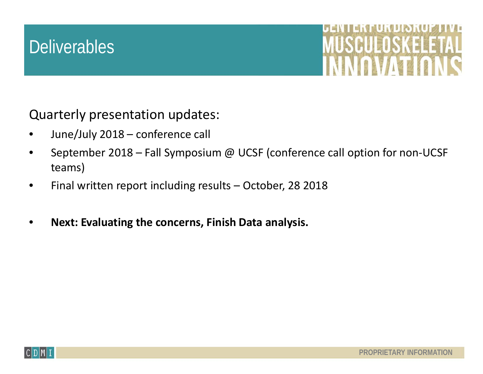#### **Deliverables**



Quarterly presentation updates:

- June/July 2018 conference call
- September 2018 Fall Symposium @ UCSF (conference call option for non-UCSF teams)
- Final written report including results October, 28 2018
- **Next: Evaluating the concerns, Finish Data analysis.**